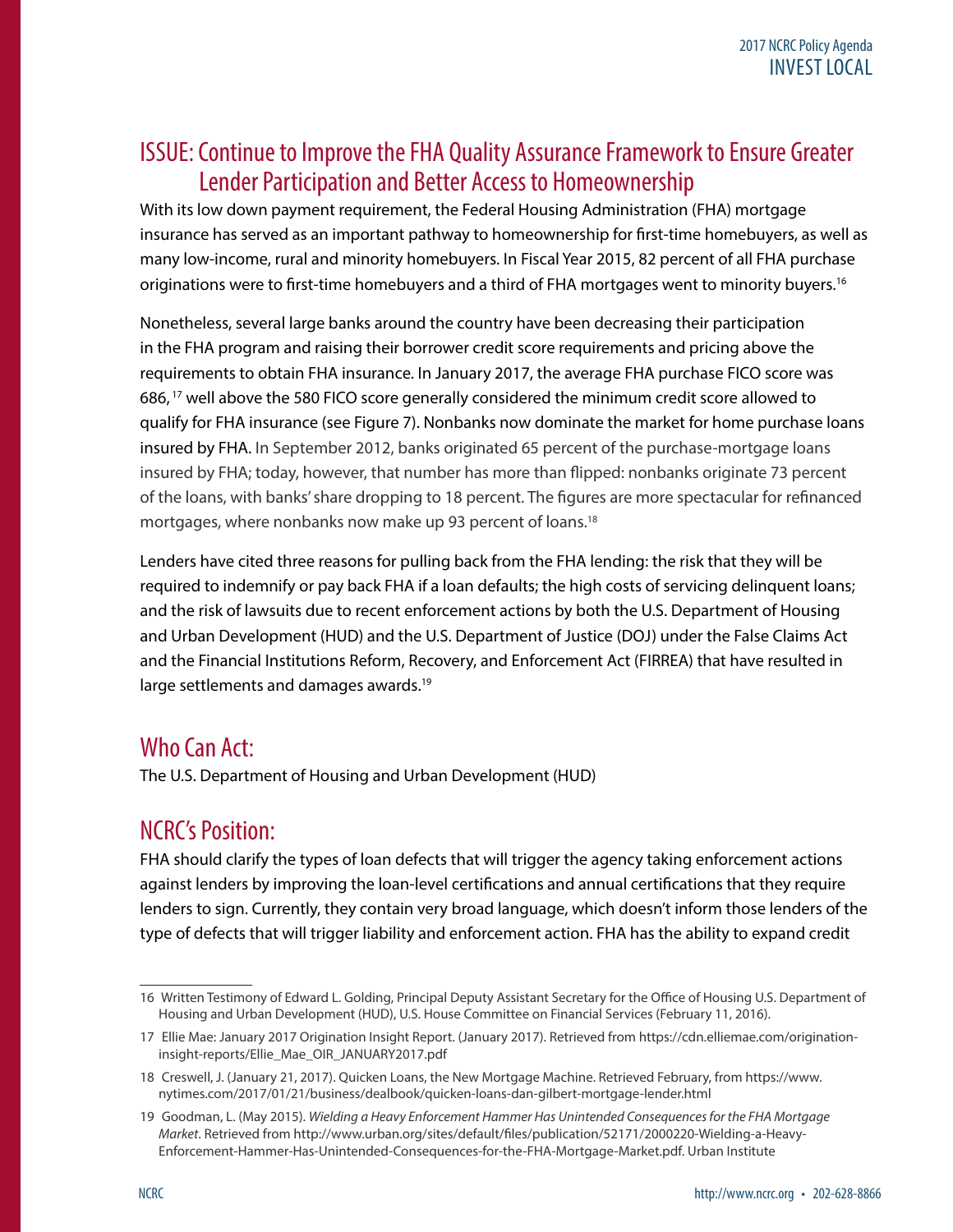## ISSUE: Continue to Improve the FHA Quality Assurance Framework to Ensure Greater Lender Participation and Better Access to Homeownership

With its low down payment requirement, the Federal Housing Administration (FHA) mortgage insurance has served as an important pathway to homeownership for first-time homebuyers, as well as many low-income, rural and minority homebuyers. In Fiscal Year 2015, 82 percent of all FHA purchase originations were to first-time homebuyers and a third of FHA mortgages went to minority buyers.<sup>16</sup>

Nonetheless, several large banks around the country have been decreasing their participation in the FHA program and raising their borrower credit score requirements and pricing above the requirements to obtain FHA insurance. In January 2017, the average FHA purchase FICO score was 686, 17 well above the 580 FICO score generally considered the minimum credit score allowed to qualify for FHA insurance (see Figure 7). Nonbanks now dominate the market for home purchase loans insured by FHA. In September 2012, banks originated 65 percent of the purchase-mortgage loans insured by FHA; today, however, that number has more than flipped: nonbanks originate 73 percent of the loans, with banks' share dropping to 18 percent. The figures are more spectacular for refinanced mortgages, where nonbanks now make up 93 percent of loans.<sup>18</sup>

Lenders have cited three reasons for pulling back from the FHA lending: the risk that they will be required to indemnify or pay back FHA if a loan defaults; the high costs of servicing delinquent loans; and the risk of lawsuits due to recent enforcement actions by both the U.S. Department of Housing and Urban Development (HUD) and the U.S. Department of Justice (DOJ) under the False Claims Act and the Financial Institutions Reform, Recovery, and Enforcement Act (FIRREA) that have resulted in large settlements and damages awards.<sup>19</sup>

## Who Can Act:

The U.S. Department of Housing and Urban Development (HUD)

## NCRC's Position:

FHA should clarify the types of loan defects that will trigger the agency taking enforcement actions against lenders by improving the loan-level certifications and annual certifications that they require lenders to sign. Currently, they contain very broad language, which doesn't inform those lenders of the type of defects that will trigger liability and enforcement action. FHA has the ability to expand credit

<sup>16</sup> Written Testimony of Edward L. Golding, Principal Deputy Assistant Secretary for the Office of Housing U.S. Department of Housing and Urban Development (HUD), U.S. House Committee on Financial Services (February 11, 2016).

<sup>17</sup> Ellie Mae: January 2017 Origination Insight Report. (January 2017). Retrieved from [https://cdn.elliemae.com/origination](https://cdn.elliemae.com/origination-insight-reports/Ellie_Mae_OIR_JANUARY2017.pdf)[insight-reports/Ellie\\_Mae\\_OIR\\_JANUARY2017.pdf](https://cdn.elliemae.com/origination-insight-reports/Ellie_Mae_OIR_JANUARY2017.pdf)

<sup>18</sup> Creswell, J. (January 21, 2017). Quicken Loans, the New Mortgage Machine. Retrieved February, from https://www. nytimes.com/2017/01/21/business/dealbook/quicken-loans-dan-gilbert-mortgage-lender.html

<sup>19</sup> Goodman, L. (May 2015). *Wielding a Heavy Enforcement Hammer Has Unintended Consequences for the FHA Mortgage Market*. Retrieved from [http://www.urban.org/sites/default/files/publication/52171/2000220-Wielding-a-Heavy-](http://www.urban.org/sites/default/files/publication/52171/2000220-Wielding-a-Heavy-Enforcement-Hammer-Has-Unintended-Consequences-for-the-FHA-Mortgage-Market.pdf)[Enforcement-Hammer-Has-Unintended-Consequences-for-the-FHA-Mortgage-Market.pdf](http://www.urban.org/sites/default/files/publication/52171/2000220-Wielding-a-Heavy-Enforcement-Hammer-Has-Unintended-Consequences-for-the-FHA-Mortgage-Market.pdf). Urban Institute